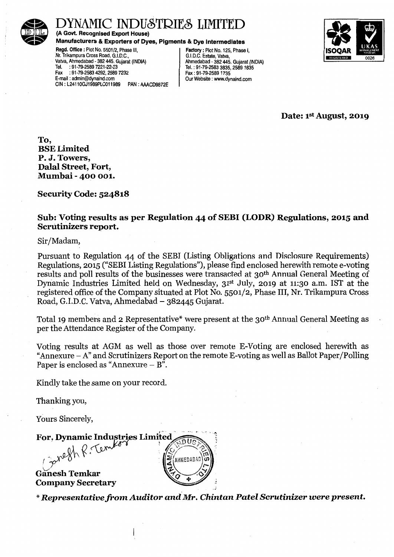

## ' INDUSTRIES LIMITE

(A Govt. Recognised Export House)

Manufacturers & Exporters of Dyes, Pigments & Dye Intermediates

Regd. Office: Plot No. 5501/2, Phase Ill, Nr. Trikampura Cross Road, G.I.D.C., · ValVa, Ahmedabad • 382 445. Gujarat (INDIA) Tel. : 91-79-2589 7221-22-23<br>Fax : 91-79-2583 4292, 2589 Fax :91-79-2583 4292,2589 7232 E-mail : admin@dynaind.com CIN: L24110GJ1989PLC011989 PAN: AAACD9872E

Factory : Plot No. 125, Phase I, G.I.D.C. Estate, Valva, Ahmedabad - 382 445. Gujarat (INDIA) Tel.: 91-79-2583 3835,25891835 Fax: 91-79-25891735 Our Website : www.dynaind.com



Date: 1<sup>st</sup> August, 2019

To, BSELimited P. J. Towers, Dalal Street, Fort, Mumbai - 400 001.

Security Code: 524818

#### Sub: Voting results as per Regulation 44 of SEBI (LODR) Regulations, 2015 and Scrutinizers report.

Sir/Madam,

Pursuant to Regulation 44 of the SEBI (Listing Obligations and Disclosure Requirements) Regulations, 2015 ("SEBI Listing Regulations"), please find enclosed herewith remote e-voting results and poll results of the businesses were transacted at 30th Annual General Meeting of Dynamic Industries Limited held on Wednesday, 31st July, 2019 at 11:30 a.m. 1ST at the registered office of the Company situated at Plot No. 5501/2, Phase III, Nr. Trikampura Cross Road, G.I.D.C. Vatva, Ahmedabad- 382445 Gujarat.

Total 19 members and 2 Representative\* were present at the 30<sup>th</sup> Annual General Meeting as per the Attendance Register of the Company.

Voting results at AGM as well as those over remote E-Voting are enclosed herewith as "Annexure  $-A$ " and Scrutinizers Report on the remote E-voting as well as Ballot Paper/Polling Paper is enclosed as "Annexure  $- B$ ".

Kindly take the same on your record.

Thanking you,

Yours Sincerely,

For, Dynamic Industries Limited or, Dynamic Industries  $\overline{\Omega U}$ **AHMEDABA!** Ganesh Temkar **Company Secretary** 

*\*Representative from Auditor and Mr. Chintan Patel* Scrutinizer were *present.*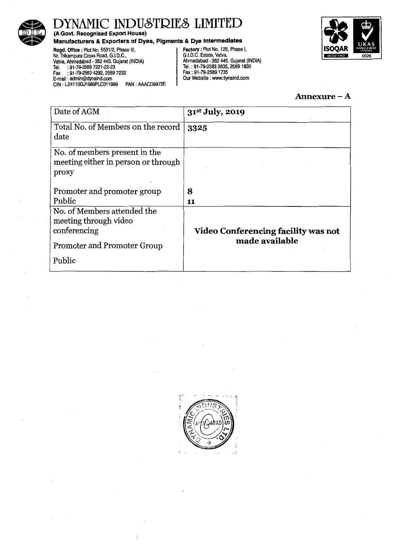

(A Govt. Recognised Export House)

#### Manufacturers & Exporters of Dyes, Pigments & Dye Intermediates

Regd. Office : Plot No. 5501/2, Phase Ill, Nr. Trikampura Cross Road, G.I.D.C., · ValVa, Ahmedabad- 382 445. Gujarat (INDIA) Tel. :91-79-2589 7221-22-23 Fax : 91-79-2583 4292, 2589 7232 E-mail : admin@dynaind.com CIN : L2411 OGJ1989PLC011989 PAN : AAACD9872E

Factory: Plot No. 125, Phase I, G.I.D.C. Estate, ValVa, Ahmedabad - 382 445. Gujarat (INDIA) Tel.: 91-79-2583 3835,25891835 Fax: 91-79-25891735 Our Website : www.dynaind.com



#### Annexure-A

| Date of AGM                                                                   | 31 <sup>st</sup> July, 2019         |
|-------------------------------------------------------------------------------|-------------------------------------|
| Total No. of Members on the record<br>date                                    | 3325                                |
| No. of members present in the<br>meeting either in person or through<br>proxy |                                     |
| Promoter and promoter group                                                   | 8                                   |
| Public                                                                        | 11                                  |
| No. of Members attended the<br>meeting through video<br>conferencing          | Video Conferencing facility was not |
| Promoter and Promoter Group                                                   | made available                      |
| Public                                                                        |                                     |

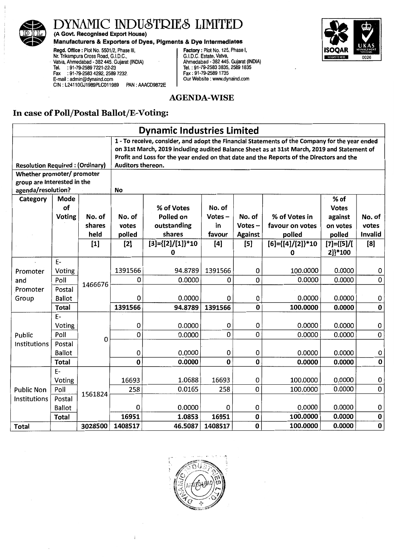

(A Govt. Recognised Export House)

#### Manufacturers & Exporters of Dyes, Pigments & Dye Intermediates

**IRE GISTERED** 0021

Regd. Office: Plot No. 5501/2, Phase Ill, Nr. Trikampura Cross Road, G.I.D.C., · ValVa, Ahmedabad - 382 445. Gujarat (INDIA) Tel. : 91-79-2589 7221-22-23 Fax :91-79-2583 4292,2589 7232. E-mail : admin@dynaind.com GIN : L2411 OGJ1989PLC011989 PAN : AAACD9872E

Factory: Plot No. 125, Phase I, G.I.D.C. Estate, Vatva, Ahmedabad - 382 445. Gujarat (INDIA) Tel.: 91-79-2583 3835,25891835 Fax: 91-79-25891735 Our Website : www.dynaind.com

### AGENDA-WISE

### In case of Poll/Postal Ballot/E-Voting:

|                             | <b>Dynamic Industries Limited</b>                                                                                                                                                                                                                                                                                                                        |                  |                 |                              |                 |                     |                                  |                     |                |
|-----------------------------|----------------------------------------------------------------------------------------------------------------------------------------------------------------------------------------------------------------------------------------------------------------------------------------------------------------------------------------------------------|------------------|-----------------|------------------------------|-----------------|---------------------|----------------------------------|---------------------|----------------|
|                             | 1 - To receive, consider, and adopt the Financial Statements of the Company for the year ended<br>on 31st March, 2019 including audited Balance Sheet as at 31st March, 2019 and Statement of<br>Profit and Loss for the year ended on that date and the Reports of the Directors and the<br>Auditors thereon.<br><b>Resolution Required: (Ordinary)</b> |                  |                 |                              |                 |                     |                                  |                     |                |
| Whether promoter/ promoter  |                                                                                                                                                                                                                                                                                                                                                          |                  |                 |                              |                 |                     |                                  |                     |                |
| group are interested in the |                                                                                                                                                                                                                                                                                                                                                          |                  |                 |                              |                 |                     |                                  |                     |                |
| agenda/resolution?          |                                                                                                                                                                                                                                                                                                                                                          |                  | No              |                              |                 |                     |                                  |                     |                |
| Category                    | Mode                                                                                                                                                                                                                                                                                                                                                     |                  |                 |                              |                 |                     |                                  | % of                |                |
|                             | of                                                                                                                                                                                                                                                                                                                                                       |                  |                 | % of Votes                   | No. of          |                     |                                  | <b>Votes</b>        | No. of         |
|                             | Voting                                                                                                                                                                                                                                                                                                                                                   | No. of<br>shares | No. of<br>votes | Polled on<br>outstanding     | $Votes -$<br>in | No. of<br>$Votes -$ | % of Votes in<br>favour on votes | against<br>on votes | votes          |
|                             |                                                                                                                                                                                                                                                                                                                                                          | held             | polled          | shares                       | favour          | <b>Against</b>      | polled                           | polled              | <b>Invalid</b> |
|                             |                                                                                                                                                                                                                                                                                                                                                          | $[1]$            | $[2]$           | $[3] = \{ [2] / [1] \} * 10$ | [4]             | [5]                 | $[6] = \{ [4] / [2] \} * 10$     | $[7] = \{ [5] / [$  | [8]            |
|                             |                                                                                                                                                                                                                                                                                                                                                          |                  |                 | 0                            |                 |                     | 0                                | 2]}*100             |                |
|                             | $E-$                                                                                                                                                                                                                                                                                                                                                     |                  |                 |                              |                 |                     |                                  |                     |                |
| Promoter                    | Voting                                                                                                                                                                                                                                                                                                                                                   |                  | 1391566         | 94.8789                      | 1391566         | 0                   | 100.0000                         | 0.0000              | 0              |
| and                         | Poll                                                                                                                                                                                                                                                                                                                                                     | 1466676          | 0               | 0.0000                       | 0               | 0                   | 0.0000                           | 0.0000              | $\mathbf 0$    |
| Promoter                    | Postal                                                                                                                                                                                                                                                                                                                                                   |                  |                 |                              |                 |                     |                                  |                     |                |
| Group                       | <b>Ballot</b>                                                                                                                                                                                                                                                                                                                                            |                  | 0               | 0.0000                       | 0               | $\mathbf 0$         | 0.0000                           | 0.0000              | 0              |
|                             | <b>Total</b>                                                                                                                                                                                                                                                                                                                                             |                  | 1391566         | 94.8789                      | 1391566         | $\bf{0}$            | 100.0000                         | 0.0000              | $\bf{0}$       |
|                             | $E -$                                                                                                                                                                                                                                                                                                                                                    |                  |                 |                              |                 |                     |                                  |                     |                |
|                             | Voting                                                                                                                                                                                                                                                                                                                                                   |                  | 0               | 0.0000                       | 0               | 0                   | 0.0000                           | 0.0000              | $\mathbf 0$    |
| Public                      | Poll                                                                                                                                                                                                                                                                                                                                                     | 0                | 0               | 0.0000                       | 0               | $\mathbf 0$         | 0.0000                           | 0.0000              | 0              |
| Institutions                | Postal                                                                                                                                                                                                                                                                                                                                                   |                  |                 |                              |                 |                     |                                  |                     |                |
|                             | <b>Ballot</b>                                                                                                                                                                                                                                                                                                                                            |                  | 0               | 0.0000                       | 0               | 0<br>$\mathbf 0$    | 0.0000                           | 0.0000              | $\bf 0$        |
|                             | <b>Total</b>                                                                                                                                                                                                                                                                                                                                             |                  | $\bf{0}$        | 0.0000                       | $\bf{0}$        |                     | 0.0000                           | 0.0000              | $\pmb{0}$      |
|                             | $E -$                                                                                                                                                                                                                                                                                                                                                    |                  | 16693           | 1.0688                       | 16693           | $\mathbf 0$         | 100.0000                         | 0.0000              | $\pmb{0}$      |
|                             | Voting                                                                                                                                                                                                                                                                                                                                                   |                  | 258             | 0.0165                       | 258             | 0                   | 100.0000                         | 0.0000              | $\pmb{0}$      |
| <b>Public Non</b>           | Poll                                                                                                                                                                                                                                                                                                                                                     | 1561824          |                 |                              |                 |                     |                                  |                     |                |
| Institutions                | Postal<br><b>Ballot</b>                                                                                                                                                                                                                                                                                                                                  |                  | $\mathbf 0$     | 0.0000                       | 0               | 0                   | 0.0000                           | 0.0000              | $\pmb{0}$      |
|                             | Total                                                                                                                                                                                                                                                                                                                                                    |                  | 16951           | 1.0853                       | 16951           | $\mathbf 0$         | 100.0000                         | 0.0000              | $\bf{0}$       |
| <b>Total</b>                |                                                                                                                                                                                                                                                                                                                                                          | 3028500          | 1408517         | 46.5087                      | 1408517         | $\bf{0}$            | 100.0000                         | 0.0000              | $\bf{0}$       |

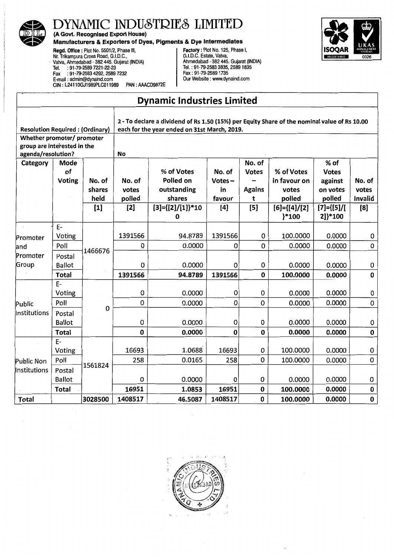

(A Govt. Recognised Export House)

# Manufacturers & Exporters of Dyes, Pigments & Dye Intermediates<br>
Regd. Office : Plot No. 5501/2, Phase III,<br>
Nr. Trikampura Cross Road, G.I.D.C.,<br>
G.I.D.C. Estate, Vatva,

Regd. Office : Plot No. 5501/2, Phase III, Factory: Plot No. 125, Phase I, Nr. Trikampura Cross Road, G.I.D.C., G.I.D.C. Estate, Valva, · ValVa, Ahmedabad - 382 445. Gujarat (INDIA) Ahmedabad - 382 445. Gujarat (INDIA) Tel. :91-79-2589 7221-22-23 Tel.: 91-79-2583 3835,25891835 Fax :91-79-2583 4292,2589 7232 Fax: 91-79-25891735 E-mail : admin@dynaind.com Our Website : www.dynaind.com CIN: L24110GJ1989PLC011989 PAN: AAACD9872E



## **Dynamic Industries Limited**

| <b>Resolution Required: (Ordinary)</b>                                          |                                         |                          |                           | 2 - To declare a dividend of Rs 1.50 (15%) per Equity Share of the nominal value of Rs 10.00<br>each for the year ended on 31st March, 2019. |                                     |                                              |                                               |                                                       |                                   |  |
|---------------------------------------------------------------------------------|-----------------------------------------|--------------------------|---------------------------|----------------------------------------------------------------------------------------------------------------------------------------------|-------------------------------------|----------------------------------------------|-----------------------------------------------|-------------------------------------------------------|-----------------------------------|--|
| Whether promoter/ promoter<br>group are interested in the<br>agenda/resolution? |                                         |                          | <b>No</b>                 |                                                                                                                                              |                                     |                                              |                                               |                                                       |                                   |  |
| Category                                                                        | Mode<br>of<br>Voting                    | No. of<br>shares<br>held | No. of<br>votes<br>polled | % of Votes<br>Polled on<br>outstanding<br>shares                                                                                             | No. of<br>$Votes -$<br>in<br>favour | No. of<br><b>Votes</b><br><b>Agains</b><br>t | % of Votes<br>in favour on<br>votes<br>polled | % of<br><b>Votes</b><br>against<br>on votes<br>polled | No. of<br>votes<br><b>Invalid</b> |  |
|                                                                                 |                                         | $[1]$                    | $[2]$                     | $[3] = \{ [2] / [1] \}$ *10<br>$\bf{0}$                                                                                                      | [4]                                 | $[5]$                                        | $[6] = \{ [4] / [2]$<br>}*100                 | $[7] = \{ [5] / [$<br>2]}*100                         | [8]                               |  |
| Promoter                                                                        | $E-$<br>Voting                          |                          | 1391566                   | 94.8789                                                                                                                                      | 1391566                             | 0                                            | 100.0000                                      | 0.0000                                                | 0                                 |  |
| and                                                                             | Poll                                    |                          | 0                         | 0.0000                                                                                                                                       | 0                                   | 0                                            | 0.0000                                        | 0.0000                                                | 0                                 |  |
| Promoter<br>Group                                                               | Postal<br><b>Ballot</b>                 | 1466676                  | 0                         | 0.0000                                                                                                                                       | $\mathbf 0$                         | 0                                            | 0.0000                                        | 0.0000                                                | 0                                 |  |
|                                                                                 | <b>Total</b>                            |                          | 1391566                   | 94.8789                                                                                                                                      | 1391566                             | $\mathbf 0$                                  | 100.0000                                      | 0.0000                                                | 0                                 |  |
| Public                                                                          | $E-$<br>Voting<br>Poll                  |                          | 0<br>0                    | 0.0000<br>0.0000                                                                                                                             | 0<br>0                              | 0<br>0                                       | 0.0000<br>0.0000                              | 0.0000<br>0.0000                                      | 0<br>0                            |  |
| Institutions                                                                    | Postal<br><b>Ballot</b>                 | $\mathbf 0$              | 0                         | 0.0000                                                                                                                                       | 0                                   | 0                                            | 0.0000                                        | 0.0000                                                | 0                                 |  |
|                                                                                 | Total                                   |                          | $\bf{0}$                  | 0.0000                                                                                                                                       | 0                                   | 0                                            | 0.0000                                        | 0.0000                                                | $\bf{0}$                          |  |
|                                                                                 | $E-$<br>Voting                          |                          | 16693                     | 1.0688                                                                                                                                       | 16693                               | 0                                            | 100.0000                                      | 0.0000                                                | 0                                 |  |
| Public Non                                                                      | Poll                                    | 1561824                  | 258                       | 0.0165                                                                                                                                       | 258                                 | 0                                            | 100.0000                                      | 0.0000                                                | 0                                 |  |
| Institutions                                                                    | Postal<br><b>Ballot</b><br><b>Total</b> |                          | 0<br>16951                | 0.0000<br>1.0853                                                                                                                             | 0<br>16951                          | 0<br>0                                       | 0.0000<br>100.0000                            | 0.0000<br>0.0000                                      | 0<br>0                            |  |
| <b>Total</b>                                                                    |                                         | 3028500                  | 1408517                   | 46.5087                                                                                                                                      | 1408517                             | 0                                            | 100.0000                                      | 0.0000                                                | $\pmb{0}$                         |  |

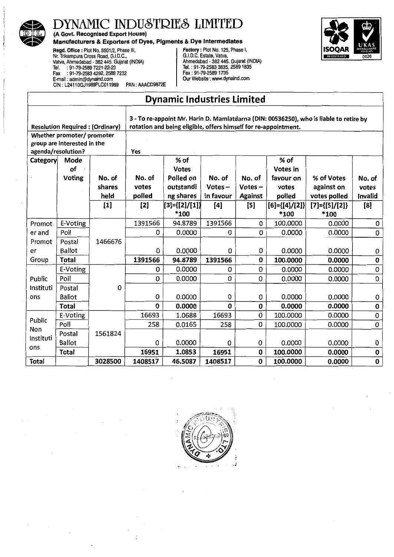

(A Govt. Recognised Export House)

**Manufacturers & Exporters of Dyes, Pigments & Dye Intermediates**<br>
Regd. Office : Plot No. 5501/2, Phase III,<br>
Nr. Trikampura Cross Road, G.I.D.C.,<br>
Vatva, Ahmedabad - 382 445. Gujarat (INDIA)<br>
Tel. : 91-79-2583 335, 2589 Regd. Office: Plot No. 5501/2, Phase III, Factory: Plot No. 125, Phase I, Nr. Trikampura Cross Road, G.I.D.C., G. I. D.C. Estate, Valva, ValVa, Ahmedabad- 382 445. Gujarat (INDIA) Ahmedabad - 382 445. Gujarat (INDIA) Tel. : 91-79-2589 7221-22-23 Tel.: 91-79-2583 3835, 25891835 Fax :91-79-2583 4292,2589 7232 Fax: 91-79-25891735 E-mail : admin@dynaind.com Our Website : www.dynaind.com CIN : L2411 OGJ1989PLC011989 PAN : AAACD9872E



## Dynamic Industries Limited

| 3 - To re-appoint Mr. Harin D. Mamlatdarna (DIN: 00536250), who is liable to retire by |                                        |         |                                                                 |                |           |                |                         |                         |             |
|----------------------------------------------------------------------------------------|----------------------------------------|---------|-----------------------------------------------------------------|----------------|-----------|----------------|-------------------------|-------------------------|-------------|
|                                                                                        | <b>Resolution Required: (Ordinary)</b> |         | rotation and being eligible, offers himself for re-appointment. |                |           |                |                         |                         |             |
|                                                                                        | Whether promoter/ promoter             |         |                                                                 |                |           |                |                         |                         |             |
|                                                                                        | group are interested in the            |         |                                                                 |                |           |                |                         |                         |             |
|                                                                                        | agenda/resolution?                     |         | Yes                                                             |                |           |                |                         |                         |             |
| <b>Category</b>                                                                        | Mode                                   |         |                                                                 | % of           |           |                | % of                    |                         |             |
|                                                                                        | of                                     |         |                                                                 | <b>Votes</b>   |           |                | <b>Votes in</b>         |                         |             |
|                                                                                        | <b>Voting</b>                          | No. of  | No. of                                                          | Polled on      | No. of    | No. of         | favour on               | % of Votes              | No. of      |
|                                                                                        |                                        | shares  | votes                                                           | outstandi      | $Votes -$ | $Votes -$      | votes                   | against on              | votes       |
|                                                                                        |                                        | held    | poiled                                                          | ng shares      | in favour | <b>Against</b> | polled                  | votes polled            | Invalid     |
|                                                                                        |                                        | $[1]$   | [2]                                                             | [[3]={[2]/[1]} | [4]       | $\mathbf{[5]}$ | $[6] = \{ [4] / [2] \}$ | $[7] = \{ [5] / [2] \}$ | [8]         |
|                                                                                        |                                        |         |                                                                 | *100           |           |                | *100                    | *100                    |             |
| Promot.                                                                                | E-Voting                               |         | 1391566                                                         | 94.8789        | 1391566   | 0              | 100.0000                | 0.0000                  | 0           |
| er and                                                                                 | Poll                                   |         | 0                                                               | 0.0000         | O         | 0              | 0.0000                  | 0.0000                  | 0           |
| Promot                                                                                 | Postal                                 | 1466676 |                                                                 |                |           |                |                         |                         |             |
| er                                                                                     | <b>Ballot</b>                          |         | 0                                                               | 0.0000         | 0         | 0              | 0.0000                  | 0.0000                  | 0           |
| Group                                                                                  | <b>Total</b>                           |         | 1391566                                                         | 94.8789        | 1391566   | 0              | 100.0000                | 0.0000                  | $\mathbf 0$ |
|                                                                                        | E-Voting                               |         | 0                                                               | 0.0000         | 0         | 0              | 0.0000                  | 0.0000                  | 0           |
| Public                                                                                 | Poll                                   |         | 0                                                               | 0.0000         | 0         | 0              | 0.0000                  | 0.0000                  | 0           |
| Instituti                                                                              | Postal                                 | 0       |                                                                 |                |           |                |                         |                         |             |
| ons                                                                                    | <b>Ballot</b>                          |         | 0                                                               | 0.0000         | 0         | 0              | 0.0000                  | 0.0000                  | 0           |
|                                                                                        | <b>Total</b>                           |         | $\mathbf{0}$                                                    | 0.0000         | $\bf{0}$  | $\bf{0}$       | 0.0000                  | 0.0000                  | 0           |
|                                                                                        | E-Voting                               |         | 16693                                                           | 1.0688         | 16693     | 0              | 100.0000                | 0.0000                  | 0           |
| Public                                                                                 | Poll                                   |         | 258                                                             | 0.0165         | 258       | 0              | 100.0000                | 0.0000                  | 0           |
| Non<br>Instituti                                                                       | Postal                                 | 1561824 |                                                                 |                |           |                |                         |                         |             |
| ons                                                                                    | <b>Ballot</b>                          |         | 0                                                               | 0.0000         | 0         | 0              | 0.0000                  | 0.0000                  | 0           |
|                                                                                        | <b>Total</b>                           |         | 16951                                                           | 1.0853         | 16951     | 0              | 100.0000                | 0.0000                  | 0           |
| Total                                                                                  |                                        | 3028500 | 1408517                                                         | 46.5087        | 1408517   | 0              | 100.0000                | 0.0000                  | 0           |

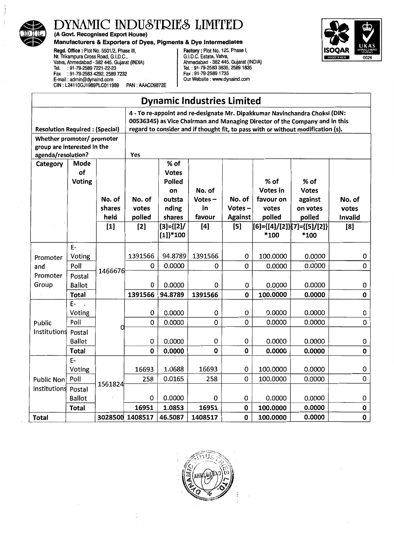

(A Govt. Recognised Export House)

#### Manufacturers & Exporters of Dyes, Pigments & Dye Intermediates



Regd. Office: Plot No. 5501/2, Phase Ill, Nr. Trikampura Cross Road, G.I.D.C., · Vatlia, Ahmedabad - 382 445. Gujarat (INDIA) Tel. :91-79-2589 7221-22-23 Fax :91-79-2583 4292, 2589 7232 E-mail : admin@dynaind.com CIN: L24110GJ1989PLC011989 PAN: AAACD9872E

Factory: Plot No. 125, Phase I, G.I.D.C. Estate, Vatlia, Ahmedabad - 382 445. Gujarat (INDIA) Tel.: 91-79-2583 3835, 25891835 Fax: 91-79-2589 1735 Our Website : www.dynaind.com

| <b>Dynamic Industries Limited</b> |                                                                                                                                                                                                                                                                                         |         |                 |                                            |           |                |                                     |              |             |
|-----------------------------------|-----------------------------------------------------------------------------------------------------------------------------------------------------------------------------------------------------------------------------------------------------------------------------------------|---------|-----------------|--------------------------------------------|-----------|----------------|-------------------------------------|--------------|-------------|
|                                   | 4 - To re-appoint and re-designate Mr. Dipakkumar Navinchandra Choksi (DIN:<br>00536345) as Vice Chairman and Managing Director of the Company and in this<br>regard to consider and if thought fit, to pass with or without modification (s).<br><b>Resolution Required: (Special)</b> |         |                 |                                            |           |                |                                     |              |             |
| Whether promoter/ promoter        |                                                                                                                                                                                                                                                                                         |         |                 |                                            |           |                |                                     |              |             |
| group are interested in the       |                                                                                                                                                                                                                                                                                         |         |                 |                                            |           |                |                                     |              |             |
| agenda/resolution?                |                                                                                                                                                                                                                                                                                         |         | Yes             |                                            |           |                |                                     |              |             |
| Category                          | Mode                                                                                                                                                                                                                                                                                    |         |                 | % of                                       |           |                |                                     |              |             |
|                                   | of                                                                                                                                                                                                                                                                                      |         |                 | <b>Votes</b>                               |           |                |                                     |              |             |
|                                   | Voting                                                                                                                                                                                                                                                                                  |         |                 | Polled                                     |           |                | % of                                | % of         |             |
|                                   |                                                                                                                                                                                                                                                                                         |         |                 | on                                         | No. of    |                | Votes in                            | <b>Votes</b> |             |
|                                   |                                                                                                                                                                                                                                                                                         | No. of  | No. of          | outsta                                     | $Votes -$ | No. of         | favour on                           | against      | No. of      |
|                                   |                                                                                                                                                                                                                                                                                         | shares  | votes           | nding                                      | in        | Votes $-$      | votes                               | on votes     | votes       |
|                                   |                                                                                                                                                                                                                                                                                         | held    | polled          | shares                                     | favour    | <b>Against</b> | polled                              | polled       | Invalid     |
|                                   |                                                                                                                                                                                                                                                                                         | $[1]$   | $[2]$           | $[3] = \{ [2] \}$<br>$[1]$ <sup>*100</sup> | $[4]$     | $[5]$          | [[6]={[4]/[2]}[7]={[5]/[2]}<br>*100 | *100         | [8]         |
|                                   | $E -$                                                                                                                                                                                                                                                                                   |         |                 |                                            |           |                |                                     |              |             |
| Promoter                          | Voting                                                                                                                                                                                                                                                                                  |         | 1391566         | 94.8789                                    | 1391566   | 0              | 100.0000                            | 0.0000       | 0           |
| and                               | Poll                                                                                                                                                                                                                                                                                    |         | 0               | 0.0000                                     | 0         | 0              | 0.0000                              | 0.0000       | 0           |
| Promoter                          | Postal                                                                                                                                                                                                                                                                                  | 1466676 |                 |                                            |           |                |                                     |              |             |
| Group                             | <b>Ballot</b>                                                                                                                                                                                                                                                                           |         | 0               | 0.0000                                     | 0         | 0              | 0.0000                              | 0.0000       | 0           |
|                                   | Total                                                                                                                                                                                                                                                                                   |         | 1391566         | 94.8789                                    | 1391566   | $\mathbf 0$    | 100.0000                            | 0.0000       | $\mathbf 0$ |
|                                   | $E-$                                                                                                                                                                                                                                                                                    |         |                 |                                            |           |                |                                     |              |             |
|                                   | Voting                                                                                                                                                                                                                                                                                  |         | 0               | 0.0000                                     | 0         | 0              | 0.0000                              | 0.0000       | 0           |
| Public                            | Poll                                                                                                                                                                                                                                                                                    | n       | 0               | 0.0000                                     | 0         | 0              | 0.0000                              | 0.0000       | 0           |
| Institutions                      | Postal                                                                                                                                                                                                                                                                                  |         |                 |                                            |           |                |                                     |              |             |
|                                   | <b>Ballot</b>                                                                                                                                                                                                                                                                           |         | 0               | 0.0000                                     | 0         | 0              | 0.0000                              | 0.0000       | 0           |
|                                   | Total                                                                                                                                                                                                                                                                                   |         | 0               | 0.0000                                     | 0         | 0              | 0.0000                              | 0.0000       | 0           |
|                                   | $E-$                                                                                                                                                                                                                                                                                    |         |                 |                                            |           |                |                                     |              |             |
|                                   | Voting                                                                                                                                                                                                                                                                                  |         | 16693           | 1.0688                                     | 16693     | 0              | 100.0000                            | 0.0000       | 0           |
| <b>Public Non</b>                 | Poll                                                                                                                                                                                                                                                                                    | 1561824 | 258             | 0.0165                                     | 258       | 0              | 100.0000                            | 0.0000       | 0           |
| Institutions                      | Postal                                                                                                                                                                                                                                                                                  |         |                 |                                            |           |                |                                     |              |             |
|                                   | <b>Ballot</b>                                                                                                                                                                                                                                                                           |         | 0               | 0.0000                                     | 0         | 0              | 0.0000                              | 0.0000       | 0           |
|                                   | Total                                                                                                                                                                                                                                                                                   |         | 16951           | 1.0853                                     | 16951     | 0              | 100.0000                            | 0.0000       | 0           |
| <b>Total</b>                      |                                                                                                                                                                                                                                                                                         |         | 3028500 1408517 | 46.5087                                    | 1408517   | 0              | 100.0000                            | 0.0000       | 0           |

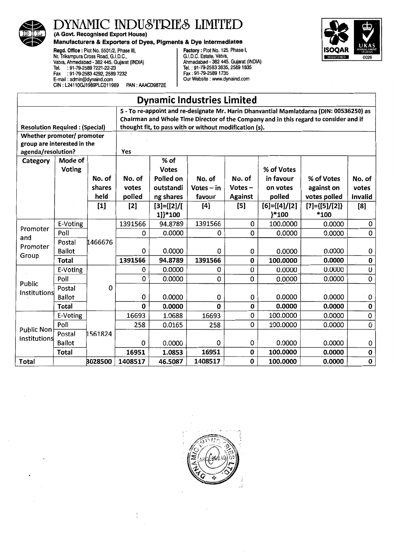

(A Govt. Recognised Export House)



Manufacturers & Exporters of Dyes, Pigments & Dye Intermediates<br>
Regd. Office : Plot No. 5501/2, Phase III,<br>
Nr. Trikampura Cross Road, G.I.D.C.<br>
Vatva, Ahmedabad - 382 445. Gujarat (INDIA)<br>
Tel. : 91-79-2589 7221-22-23<br>
F Regd. Office: Plot No. 5501/2, Phase Ill, Factory: Plot No. 125, Phase I, Nr. Trikampura Cross Road, G.I.D.C., G.I.C., G.I. G.I.D.C. Estate, Vatva, · ValVa, Ahmedabad. 382 445. Gujarat (INDIA) Ahmedabad- 382 445. Gujarat (INDIA) Tel. :91-79-2589 7221-22-23 Tel.: 91-79-2583 3835,25891835 Fax :91-79-2583 4292,2589 7232 Fax: 91-79-25891735 E-mail : admin@dynaind.com Our Website : www.dynaind.com CIN: L24110GJ1989PLC011989 PAN: AAACD9872E

|                                       | <b>Dynamic Industries Limited</b>                                                       |         |         |                                                                                       |              |                |                      |                         |                                                                                                            |  |
|---------------------------------------|-----------------------------------------------------------------------------------------|---------|---------|---------------------------------------------------------------------------------------|--------------|----------------|----------------------|-------------------------|------------------------------------------------------------------------------------------------------------|--|
|                                       | 5 - To re-appoint and re-designate Mr. Harin Dhanvantlal Mamlatdarna (DIN: 00536250) as |         |         |                                                                                       |              |                |                      |                         |                                                                                                            |  |
|                                       |                                                                                         |         |         | Chairman and Whole Time Director of the Company and in this regard to consider and if |              |                |                      |                         |                                                                                                            |  |
| <b>Resolution Required: (Special)</b> |                                                                                         |         |         | thought fit, to pass with or without modification (s).                                |              |                |                      |                         |                                                                                                            |  |
| Whether promoter/ promoter            |                                                                                         |         |         |                                                                                       |              |                |                      |                         |                                                                                                            |  |
| group are interested in the           |                                                                                         |         |         |                                                                                       |              |                |                      |                         |                                                                                                            |  |
| agenda/resolution?                    |                                                                                         |         | Yes     |                                                                                       |              |                |                      |                         |                                                                                                            |  |
| Category                              | Mode of                                                                                 |         |         | % of                                                                                  |              |                |                      |                         |                                                                                                            |  |
|                                       | <b>Voting</b>                                                                           |         |         | <b>Votes</b>                                                                          |              |                | % of Votes           |                         |                                                                                                            |  |
|                                       |                                                                                         | No. of  | No. of  | Polled on                                                                             | No. of       | No. of         | in favour            | % of Votes              | No. of                                                                                                     |  |
|                                       |                                                                                         | shares  | votes   | outstandi                                                                             | $Votes - in$ | $Votes -$      | on votes             | against on              | votes                                                                                                      |  |
|                                       |                                                                                         | held    | polled  | ng shares                                                                             | favour       | <b>Against</b> | polled               | votes polled            | Invalid                                                                                                    |  |
|                                       |                                                                                         | $[1]$   | $[2]$   | $[3] = \{ [2] / [$                                                                    | [4]          | $[5]$          | $[6] = \{ [4] / [2]$ | $[7] = \{ [5] / [2] \}$ | [8]                                                                                                        |  |
|                                       |                                                                                         |         |         | 1]}*100                                                                               |              |                | }*100                | *100                    |                                                                                                            |  |
| Promoter                              | E-Voting                                                                                |         | 1391566 | 94.8789                                                                               | 1391566      | 0              | 100.0000             | 0.0000                  | 0                                                                                                          |  |
| and                                   | Poll                                                                                    |         | 0       | 0.0000                                                                                | 0            | 0              | 0.0000               | 0.0000                  | 0                                                                                                          |  |
| Promoter                              | Postal                                                                                  | 1466676 |         |                                                                                       |              |                |                      |                         |                                                                                                            |  |
| Group                                 | <b>Ballot</b>                                                                           |         | 0       | 0.0000                                                                                | 0            | 0              | 0.0000               | 0.0000                  | 0                                                                                                          |  |
|                                       | <b>Total</b>                                                                            |         | 1391566 | 94.8789                                                                               | 1391566      | $\bf{0}$       | 100.0000             | 0.0000                  | $\pmb{0}$                                                                                                  |  |
|                                       | E-Voting                                                                                |         | 0       | 0.0000                                                                                | 0            | Ū              | 0.0000               | 0.0000                  | $\mathsf{U}% _{T}=\mathsf{U}_{T}\!\left( a,b\right) ,\ \mathsf{U}_{T}=\mathsf{U}_{T}\!\left( a,b\right) ,$ |  |
| Public                                | Poll                                                                                    |         | 0       | 0.0000                                                                                | 0            | 0              | 0.0000               | 0.0000                  | 0                                                                                                          |  |
| Institutions                          | Postal                                                                                  | 0       |         |                                                                                       |              |                |                      |                         |                                                                                                            |  |
|                                       | <b>Ballot</b>                                                                           |         | 0       | 0.0000                                                                                | 0            | 0              | 0.0000               | 0.0000                  | 0                                                                                                          |  |
|                                       | <b>Total</b>                                                                            |         | 0       | 0.0000                                                                                | $\mathbf 0$  | $\mathbf 0$    | 0.0000               | 0.0000                  | $\pmb{0}$                                                                                                  |  |
|                                       | E-Voting                                                                                |         | 16693   | 1.0688                                                                                | 16693        | 0              | 100.0000             | 0.0000                  | 0                                                                                                          |  |
| <b>Public Non</b>                     | Poll                                                                                    |         | 258     | 0.0165                                                                                | 258          | 0              | 100.0000             | 0.0000                  | 0                                                                                                          |  |
| Institutions                          | Postal                                                                                  | 1561824 |         |                                                                                       |              |                |                      |                         |                                                                                                            |  |
|                                       | <b>Ballot</b>                                                                           |         | 0       | 0.0000                                                                                | 0            | 0              | 0.0000               | 0.0000                  | 0                                                                                                          |  |
|                                       | <b>Total</b>                                                                            |         | 16951   | 1.0853                                                                                | 16951        | $\mathbf 0$    | 100.0000             | 0.0000                  | $\mathbf 0$                                                                                                |  |
| Total                                 |                                                                                         | 3028500 | 1408517 | 46.5087                                                                               | 1408517      | $\mathbf 0$    | 100.0000             | 0.0000                  | $\mathbf 0$                                                                                                |  |



Ĵ.  $\overline{\phantom{a}}$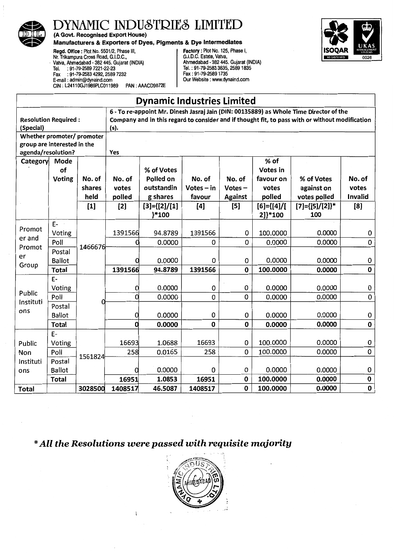

(A Govt. Recognised Export House)

#### Manufacturers & Exporters of Dyes, Pigments & Dye Intermediates

Regd. Office : Plot No. 5501/2, Phase Ill, Mr. Trikampura Cross Road, G.I.D.C.,<br>· Vatva, Ahmedabad - 382 445. Gujarat (INDIA) Tel. : 91·79-2589 7221-22-23 Fax : 91-79-2583 4292, 2589 7232 E-mail : admin@dynaind.com CIN: L24110GJ1989PLC011989 PAN: AAACD9872E

Factory: Plot No. 125, Phase I, G.I.D.C. Estate, Valva, Ahmedabad - 382 445. Gujarat (INDIA) Tel.: 91-79-2583 3835,25891835 Fax: 91-79-25891735 Our Website : www.dynaind.com



٦

|                                                                                 |                             |                                   |                                  | <b>Dynamic Industries Limited</b>                                         |                                         |                                              |                                                                        |                                                                                                                                                                                           |                                          |
|---------------------------------------------------------------------------------|-----------------------------|-----------------------------------|----------------------------------|---------------------------------------------------------------------------|-----------------------------------------|----------------------------------------------|------------------------------------------------------------------------|-------------------------------------------------------------------------------------------------------------------------------------------------------------------------------------------|------------------------------------------|
| <b>Resolution Required:</b><br>(Special)                                        |                             |                                   | (s).                             |                                                                           |                                         |                                              |                                                                        | 6 - To re-appoint Mr. Dinesh Jasraj Jain (DIN: 00135889) as Whole Time Director of the<br>Company and in this regard to consider and if thought fit, to pass with or without modification |                                          |
| Whether promoter/ promoter<br>group are interested in the<br>agenda/resolution? |                             |                                   | Yes                              |                                                                           |                                         |                                              |                                                                        |                                                                                                                                                                                           |                                          |
| Category                                                                        | Mode<br>of<br><b>Voting</b> | No. of<br>shares<br>held<br>$[1]$ | No. of<br>votes<br>polled<br>[2] | % of Votes<br>Polled on<br>outstandin<br>g shares<br>$[3] = \{ [2] / [1]$ | No. of<br>$Votes - in$<br>favour<br>[4] | No. of<br>$Votes -$<br><b>Against</b><br>[5] | % of<br>Votes in<br>favour on<br>votes<br>polled<br>$[6] = \{ [4] / [$ | % of Votes<br>against on<br>votes polled<br>$[7] = \{ [5] / [2] \}$ *                                                                                                                     | No. of<br>votes<br><b>Invalid</b><br>[8] |
|                                                                                 |                             |                                   |                                  | }*100                                                                     |                                         |                                              | 2]}*100                                                                | 100                                                                                                                                                                                       |                                          |
| Promot                                                                          | E-<br>Voting                |                                   | 1391566                          | 94.8789                                                                   | 1391566                                 | 0                                            | 100.0000                                                               | 0.0000                                                                                                                                                                                    | 0                                        |
| er and<br>Promot                                                                | Poll                        | 1466676                           |                                  | 0.0000                                                                    | 0                                       | 0                                            | 0.0000                                                                 | 0.0000                                                                                                                                                                                    | $\mathbf 0$                              |
| er<br>Group                                                                     | Postal<br><b>Ballot</b>     |                                   |                                  | 0.0000                                                                    | 0                                       | 0                                            | 0.0000                                                                 | 0.0000                                                                                                                                                                                    | 0                                        |
|                                                                                 | <b>Total</b>                |                                   | 1391566                          | 94.8789                                                                   | 1391566                                 | $\mathbf 0$                                  | 100.0000                                                               | 0.0000                                                                                                                                                                                    | $\mathbf 0$                              |
| Public                                                                          | E-<br>Voting                |                                   |                                  | 0.0000                                                                    | 0                                       | 0                                            | 0.0000                                                                 | 0.0000                                                                                                                                                                                    | 0                                        |
| Instituti                                                                       | Poll                        |                                   |                                  | 0.0000                                                                    | 0                                       | 0                                            | 0.0000                                                                 | 0.0000                                                                                                                                                                                    | $\mathbf 0$                              |
| ons                                                                             | Postal<br><b>Ballot</b>     |                                   |                                  | 0.0000                                                                    | 0                                       | 0                                            | 0.0000                                                                 | 0.0000                                                                                                                                                                                    | 0                                        |
|                                                                                 | <b>Total</b>                |                                   | 0                                | 0.0000                                                                    | 0                                       | 0                                            | 0.0000                                                                 | 0.0000                                                                                                                                                                                    | $\mathbf 0$                              |
| Public                                                                          | $E-$<br>Voting              |                                   | 16693                            | 1.0688                                                                    | 16693                                   | 0                                            | 100.0000                                                               | 0.0000                                                                                                                                                                                    | 0                                        |
| Non                                                                             | Poll                        | 1561824                           | 258                              | 0.0165                                                                    | 258                                     | 0                                            | 100.0000                                                               | 0.0000                                                                                                                                                                                    | 0                                        |
| Instituti<br>ons                                                                | Postal<br>Ballot            |                                   | Ω                                | 0.0000                                                                    | 0                                       | 0                                            | 0.0000                                                                 | 0.0000                                                                                                                                                                                    | 0                                        |
|                                                                                 | <b>Total</b>                |                                   | 16951                            | 1.0853                                                                    | 16951                                   | $\pmb{0}$                                    | 100.0000                                                               | 0.0000                                                                                                                                                                                    | $\pmb{0}$                                |
| <b>Total</b>                                                                    |                             | 3028500                           | 1408517                          | 46.5087                                                                   | 1408517                                 | 0                                            | 100.0000                                                               | 0.0000                                                                                                                                                                                    | $\pmb{0}$                                |

*\*All the Resolutions were passed with requisite majority* 

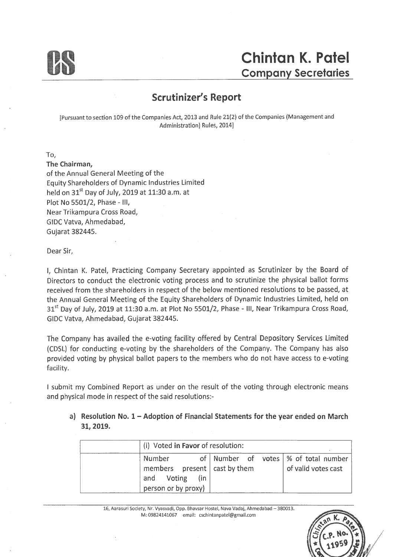

### **Scrutinizer's Report**

[Pursuant to section 109 of the Companies Act, 2013 and Rule 21(2) of the Companies (Management and Administration) Rules, 2014]

To,

The Chairman, of the Annual General Meeting of the Equity Shareholders of Dynamic Industries Limited held on  $31<sup>st</sup>$  Day of July, 2019 at 11:30 a.m. at Plot No 5501/2, Phase - Ill, Near Trikampura Cross Road, GIDC Vatva, Ahmedabad, Gujarat 382445.

Dear Sir,

I, Chintan K. Patel, Practicing Company Secretary appointed as Scrutinizer by the Board of Directors to conduct the electronic voting process and to scrutinize the physical ballot forms received from the shareholders in respect of the below mentioned resolutions to be passed, at the Annual General Meeting of the Equity Shareholders of Dynamic Industries Limited, held on 31<sup>st</sup> Day of July, 2019 at 11:30 a.m. at Plot No 5501/2, Phase - III, Near Trikampura Cross Road, GIDC Vatva, Ahmedabad, Gujarat 382445.

The Company has availed the e-voting facility offered by Central Depository Services Limited {CDSL) for conducting e-voting by the shareholders of the Company. The Company has also provided voting by physical ballot papers to the members who do not have access to e-voting facility.

I submit my Combined Report as under on the result of the voting through electronic means and physical mode in respect of the said resolutions:-

#### a) Resolution No. 1 - Adoption of Financial Statements for the year ended on March 31, 2019.

| (i) Voted in Favor of resolution:                                                                             |                                          |                     |
|---------------------------------------------------------------------------------------------------------------|------------------------------------------|---------------------|
| Number<br>$\frac{1}{2}$ members present $\frac{1}{2}$ cast by them<br>and Voting (in<br>$person$ or by proxy) | of   Number of votes   % of total number | of valid votes cast |

16, Aarasuri Society, Nr. Vyasvadi, Opp. Bhavsar Hostel, Nava Vadaj, Ahmedabad - 380013. M: 09824141067 email: cschintanpatel@gmail.com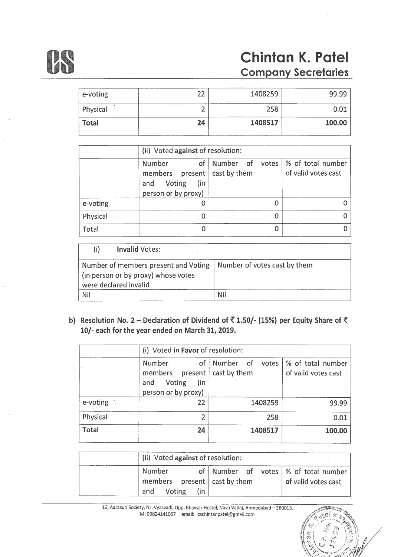

# **Chintan K. Patel Company Secretaries**

| e-voting     | าา | 1408259 | 99.99  |
|--------------|----|---------|--------|
| Physical     |    | 258     | 0.01   |
| <b>Total</b> | 24 | 1408517 | 100.00 |

|          | (ii) Voted against of resolution:                                                                        |                                     |                     |  |  |  |  |
|----------|----------------------------------------------------------------------------------------------------------|-------------------------------------|---------------------|--|--|--|--|
|          | of 1<br><b>Number</b><br>members $present   cast by them$<br>(in<br>Voting<br>and<br>person or by proxy) | Number of votes   % of total number | of valid votes cast |  |  |  |  |
| e-voting |                                                                                                          |                                     |                     |  |  |  |  |
| Physical |                                                                                                          |                                     |                     |  |  |  |  |
| Total    |                                                                                                          |                                     |                     |  |  |  |  |

|     | <b>Invalid Votes:</b>                                                                                |                              |
|-----|------------------------------------------------------------------------------------------------------|------------------------------|
|     | Number of members present and Voting<br>(in person or by proxy) whose votes<br>were declared invalid | Number of votes cast by them |
| Nil |                                                                                                      | Nil                          |

b) Resolution No. 2 - Declaration of Dividend of  $\bar{8}$  1.50/- (15%) per Equity Share of  $\bar{8}$ 10/- each for the year ended on March 31, 2019.

|              |                                                                                       | (i) Voted in Favor of resolution: |                                          |  |  |  |  |  |
|--------------|---------------------------------------------------------------------------------------|-----------------------------------|------------------------------------------|--|--|--|--|--|
|              | of<br><b>Number</b><br>members present<br>Voting<br>(in<br>and<br>person or by proxy) | Number of votes<br>cast by them   | % of total number<br>of valid votes cast |  |  |  |  |  |
| e-voting     | 22                                                                                    | 1408259                           | 99.99                                    |  |  |  |  |  |
| Physical     | $\overline{2}$                                                                        | 258                               | 0.01                                     |  |  |  |  |  |
| <b>Total</b> | 24                                                                                    | 1408517                           | 100.00                                   |  |  |  |  |  |

| (ii) Voted against of resolution:                                                   |     |  |                                                               |
|-------------------------------------------------------------------------------------|-----|--|---------------------------------------------------------------|
| Number<br>members $\frac{1}{2}$ present $\frac{1}{2}$ cast by them<br>Voting<br>and | (in |  | of Number of votes   % of total number<br>of valid votes cast |

16, Aarasuri Society, Nr. Vyasvadi, Opp. Bhavsar Hostel, Nava Vadaj, Ahmedabad - 380013. M: 09824141067 email: cschintanpatel@gmail.com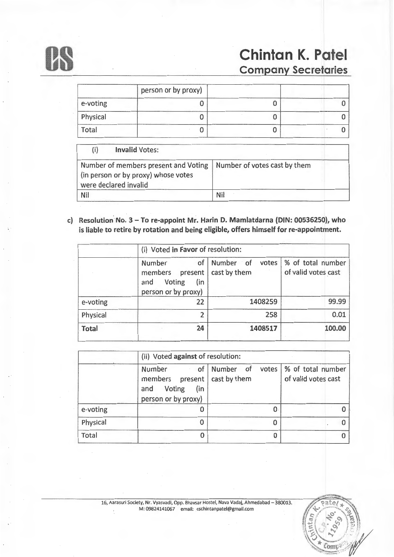

# **us Chintan K. Patel Chintan K. Patel**

|          | person or by proxy) |  |
|----------|---------------------|--|
| e-voting |                     |  |
| Physical |                     |  |
| Total    |                     |  |

| (i)        | <b>Invalid Votes:</b>                                                                                |                              |  |
|------------|------------------------------------------------------------------------------------------------------|------------------------------|--|
|            | Number of members present and Voting<br>(in person or by proxy) whose votes<br>were declared invalid | Number of votes cast by them |  |
| <b>Nil</b> |                                                                                                      | <b>Nil</b>                   |  |

c) Resolution No. 3 - To re-appoint Mr. Harin D. Mamlatdarna (DIN: 00536250), who is liable to retire by rotation and being eligible, offers himself for re-appointment.

|              |                                                                                   | (i) Voted in Favor of resolution:  |                                          |
|--------------|-----------------------------------------------------------------------------------|------------------------------------|------------------------------------------|
|              | Number<br>of<br>present<br>members<br>Voting<br>(in<br>and<br>person or by proxy) | Number of<br>votes<br>cast by them | % of total number<br>of valid votes cast |
| e-voting     | 22                                                                                | 1408259                            | 99.99                                    |
| Physical     | $\overline{2}$                                                                    | 258                                | 0.01                                     |
| <b>Total</b> | 24                                                                                | 1408517                            | 100.00                                   |

|              |                                                                                         | (ii) Voted against of resolution: |                                          |
|--------------|-----------------------------------------------------------------------------------------|-----------------------------------|------------------------------------------|
|              | Number<br>members present   cast by them<br>Voting<br>(in<br>and<br>person or by proxy) | of Number of<br>votes             | % of total number<br>of valid votes cast |
| e-voting     |                                                                                         |                                   |                                          |
| Physical     | O                                                                                       |                                   |                                          |
| <b>Total</b> |                                                                                         | 0                                 |                                          |

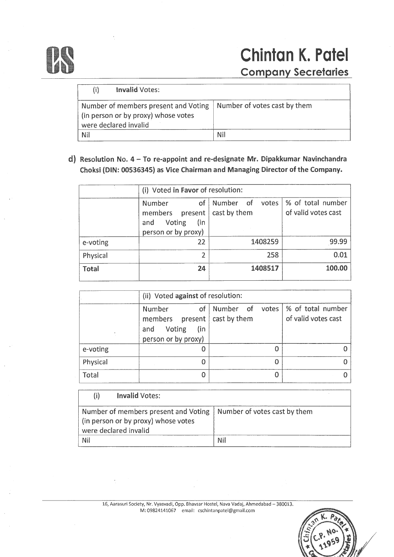

# 0 **Chintan K. Patel Company Secretaries**

| <b>Invalid Votes:</b><br>(i)                                                                         |                              |
|------------------------------------------------------------------------------------------------------|------------------------------|
| Number of members present and Voting<br>(in person or by proxy) whose votes<br>were declared invalid | Number of votes cast by them |
| <b>Nil</b>                                                                                           | Nil                          |

### d) Resolution No.  $4 - To$  re-appoint and re-designate Mr. Dipakkumar Navinchandra Choksi (DIN: 00536345) as Vice Chairman and Managing Director of the Company.

|              | (i) Voted in Favor of resolution:                                                       |                                    |                                          |
|--------------|-----------------------------------------------------------------------------------------|------------------------------------|------------------------------------------|
|              | <b>Number</b><br>of<br>members present  <br>Voting<br>(in<br>and<br>person or by proxy) | Number of<br>votes<br>cast by them | % of total number<br>of valid votes cast |
| e-voting     | 22                                                                                      | 1408259                            | 99.99                                    |
| Physical     | 2                                                                                       | 258                                | 0.01                                     |
| <b>Total</b> | 24                                                                                      | 1408517                            | 100.00                                   |

|          | (ii) Voted against of resolution:                                                                    |                                               |                     |
|----------|------------------------------------------------------------------------------------------------------|-----------------------------------------------|---------------------|
|          | of<br><b>Number</b><br>members present   cast by them<br>Voting<br>(in<br>and<br>person or by proxy) | Number of votes $\frac{1}{2}$ of total number | of valid votes cast |
| e-voting |                                                                                                      |                                               |                     |
| Physical | 0                                                                                                    | 0                                             |                     |
| Total    | Ω                                                                                                    |                                               |                     |

|     | <b>Invalid Votes:</b>                                                                                                               |     |
|-----|-------------------------------------------------------------------------------------------------------------------------------------|-----|
|     | Number of members present and Voting   Number of votes cast by them<br>(in person or by proxy) whose votes<br>were declared invalid |     |
| Nil |                                                                                                                                     | Nil |

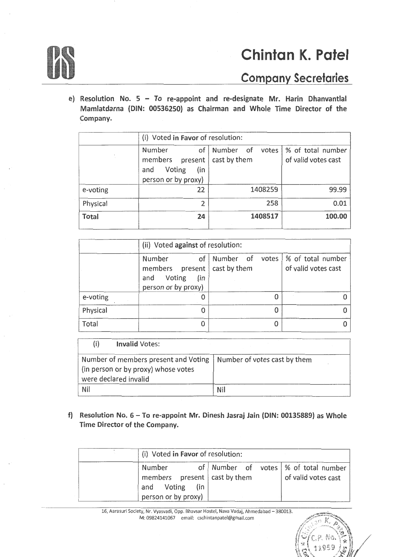

# **06 Chintan K. Patel Company Secretaries**

 $\mathbb{Q}^{11959}$  and

e) Resolution No.  $5 - To$  re-appoint and re-designate Mr. Harin Dhanvantlal Mamlatdarna (DIN: 00536250) as Chairman and Whole Time Director of the Company.

|              | (i) Voted in Favor of resolution:                                              |                                 |                                          |
|--------------|--------------------------------------------------------------------------------|---------------------------------|------------------------------------------|
|              | of<br>Number<br>members present<br>Voting<br>(in<br>and<br>person or by proxy) | Number of votes<br>cast by them | % of total number<br>of valid votes cast |
| e-voting     | 22                                                                             | 1408259                         | 99.99                                    |
| Physical     | 2                                                                              | 258                             | 0.01                                     |
| <b>Total</b> | 24                                                                             | 1408517                         | 100.00                                   |

|          | (ii) Voted against of resolution:                                                       |                                        |                     |
|----------|-----------------------------------------------------------------------------------------|----------------------------------------|---------------------|
|          | Number<br>members present   cast by them<br>Voting<br>(in<br>and<br>person or by proxy) | of Number of votes   % of total number | of valid votes cast |
| e-voting |                                                                                         | 0                                      |                     |
| Physical | U                                                                                       | O                                      |                     |
| Total    |                                                                                         |                                        |                     |

| <b>Invalid Votes:</b>                                                                                |                              |
|------------------------------------------------------------------------------------------------------|------------------------------|
| Number of members present and Voting<br>(in person or by proxy) whose votes<br>were declared invalid | Number of votes cast by them |
| Nil                                                                                                  | Nil                          |

f) Resolution No.  $6 - To$  re-appoint Mr. Dinesh Jasraj Jain (DIN: 00135889) as Whole Time Director of the Company.

| (i) Voted in Favor of resolution:                                                         |                                        |                     |
|-------------------------------------------------------------------------------------------|----------------------------------------|---------------------|
| Number<br>members present   cast by them<br>and Voting (in<br>person or by proxy) $\vert$ | of Number of votes   % of total number | of valid votes cast |

16, Aarasuri Society, Nr. Vyasvadi, Opp. Bhavsar Hostel, Nava Vadaj, Ahmedabad - 380013. M: 09824141067 email: cschintanpatel@gmail.com